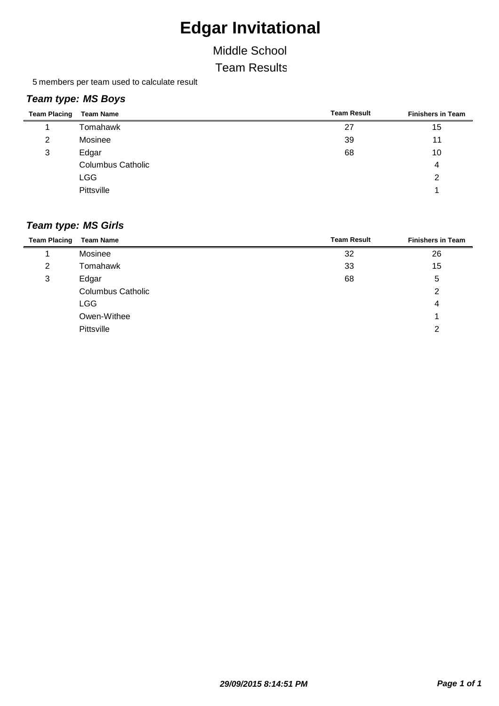#### Middle School

Team Results

5 members per team used to calculate result

#### *Team type: MS Boys*

| <b>Team Placing</b> | <b>Team Name</b>         | <b>Team Result</b> | <b>Finishers in Team</b> |
|---------------------|--------------------------|--------------------|--------------------------|
|                     | Tomahawk                 | 27                 | 15                       |
| 2                   | Mosinee                  | 39                 | 11                       |
| 3                   | Edgar                    | 68                 | 10                       |
|                     | <b>Columbus Catholic</b> |                    | 4                        |
|                     | <b>LGG</b>               |                    | 2                        |
|                     | Pittsville               |                    |                          |

#### *Team type: MS Girls*

| <b>Team Placing</b> | <b>Team Name</b>         | <b>Team Result</b> | <b>Finishers in Team</b> |
|---------------------|--------------------------|--------------------|--------------------------|
|                     | Mosinee                  | 32                 | 26                       |
| 2                   | Tomahawk                 | 33                 | 15                       |
| 3                   | Edgar                    | 68                 | 5                        |
|                     | <b>Columbus Catholic</b> |                    | 2                        |
|                     | <b>LGG</b>               |                    | 4                        |
|                     | Owen-Withee              |                    |                          |
|                     | Pittsville               |                    | 2                        |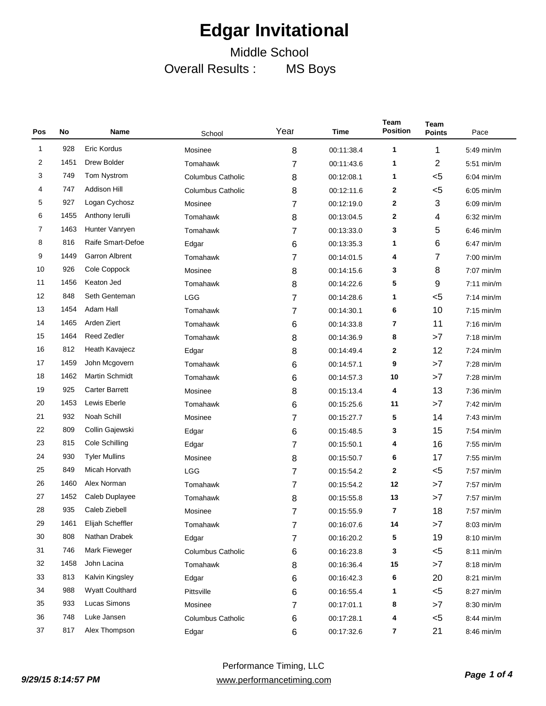### Middle School Overall Results : MS Boys

| Pos | No   | Name                                                 | School                   | Year           | Time       | Team<br><b>Position</b> | <b>Team</b><br><b>Points</b> | Pace         |
|-----|------|------------------------------------------------------|--------------------------|----------------|------------|-------------------------|------------------------------|--------------|
| 1   | 928  | Eric Kordus                                          | Mosinee                  | 8              | 00:11:38.4 | 1                       | 1                            | 5:49 min/m   |
| 2   | 1451 | Drew Bolder                                          | Tomahawk                 | 7              | 00:11:43.6 | 1                       | $\overline{c}$               | $5:51$ min/m |
| 3   | 749  | Tom Nystrom                                          | <b>Columbus Catholic</b> | 8              | 00:12:08.1 | 1                       | $5$                          | $6:04$ min/m |
| 4   | 747  | Addison Hill                                         | <b>Columbus Catholic</b> | 8              | 00:12:11.6 | 2                       | $5$                          | $6:05$ min/m |
| 5   | 927  | Logan Cychosz                                        | Mosinee                  | 7              | 00:12:19.0 | 2                       | 3                            | $6:09$ min/m |
| 6   | 1455 | Anthony Ierulli                                      | Tomahawk                 | 8              | 00:13:04.5 | 2                       | 4                            | $6:32$ min/m |
| 7   | 1463 | Hunter Vanryen                                       | Tomahawk                 | 7              | 00:13:33.0 | 3                       | 5                            | $6:46$ min/m |
| 8   | 816  | Raife Smart-Defoe                                    | Edgar                    | 6              | 00:13:35.3 | 1                       | 6                            | $6:47$ min/m |
| 9   | 1449 | Garron Albrent                                       | Tomahawk                 | 7              | 00:14:01.5 | 4                       | 7                            | $7:00$ min/m |
| 10  | 926  | Cole Coppock                                         | Mosinee                  | 8              | 00:14:15.6 | 3                       | 8                            | 7:07 min/m   |
| 11  | 1456 | Keaton Jed                                           | Tomahawk                 | 8              | 00:14:22.6 | 5                       | 9                            | $7:11$ min/m |
| 12  | 848  | Seth Genteman                                        | <b>LGG</b>               | 7              | 00:14:28.6 | 1                       | $5$                          | $7:14$ min/m |
| 13  | 1454 | Adam Hall                                            | Tomahawk                 | 7              | 00:14:30.1 | 6                       | 10                           | $7:15$ min/m |
| 14  | 1465 | Arden Ziert                                          | Tomahawk                 | 6              | 00:14:33.8 | 7                       | 11                           | $7:16$ min/m |
| 15  | 1464 | Reed Zedler                                          | Tomahawk                 | 8              | 00:14:36.9 | 8                       | >7                           | $7:18$ min/m |
| 16  | 812  | Heath Kavajecz                                       | Edgar                    | 8              | 00:14:49.4 | 2                       | 12                           | $7:24$ min/m |
| 17  | 1459 | John Mcgovern<br>Tomahawk<br>6<br>00:14:57.1         |                          | 9              | >7         | $7:28$ min/m            |                              |              |
| 18  | 1462 | <b>Martin Schmidt</b><br>Tomahawk<br>6<br>00:14:57.3 |                          | 10             | >7         | $7:28$ min/m            |                              |              |
| 19  | 925  | <b>Carter Barrett</b>                                | Mosinee                  | 8              | 00:15:13.4 | 4                       | 13                           | $7:36$ min/m |
| 20  | 1453 | Lewis Eberle                                         | Tomahawk                 | 6              | 00:15:25.6 | 11                      | >7                           | $7:42$ min/m |
| 21  | 932  | Noah Schill                                          | Mosinee                  | 7              | 00:15:27.7 | 5                       | 14                           | $7:43$ min/m |
| 22  | 809  | Collin Gajewski                                      | Edgar                    | 6              | 00:15:48.5 | 3                       | 15                           | $7:54$ min/m |
| 23  | 815  | Cole Schilling                                       | Edgar                    | 7              | 00:15:50.1 | 4                       | 16                           | $7:55$ min/m |
| 24  | 930  | <b>Tyler Mullins</b>                                 | Mosinee                  | 8              | 00:15:50.7 | 6                       | 17                           | $7:55$ min/m |
| 25  | 849  | Micah Horvath                                        | <b>LGG</b>               | 7              | 00:15:54.2 | 2                       | $5$                          | 7:57 min/m   |
| 26  | 1460 | Alex Norman                                          | Tomahawk                 | 7              | 00:15:54.2 | 12                      | >7                           | $7:57$ min/m |
| 27  | 1452 | Caleb Duplayee                                       | Tomahawk                 | 8              | 00:15:55.8 | 13                      | >7                           | $7:57$ min/m |
| 28  | 935  | Caleb Ziebell                                        | Mosinee                  | 7              | 00:15:55.9 | 7                       | 18                           | 7:57 min/m   |
| 29  | 1461 | Elijah Scheffler                                     | Tomahawk                 | $\overline{7}$ | 00:16:07.6 | 14                      | >7                           | 8:03 min/m   |
| 30  | 808  | Nathan Drabek                                        | Edgar                    | 7              | 00:16:20.2 | 5                       | 19                           | 8:10 min/m   |
| 31  | 746  | Mark Fieweger                                        | <b>Columbus Catholic</b> | 6              | 00:16:23.8 | 3                       | $5$                          | $8:11$ min/m |
| 32  | 1458 | John Lacina                                          | Tomahawk                 | 8              | 00:16:36.4 | 15                      | >7                           | 8:18 min/m   |
| 33  | 813  | Kalvin Kingsley                                      | Edgar                    | 6              | 00:16:42.3 | 6                       | 20                           | $8:21$ min/m |
| 34  | 988  | <b>Wyatt Coulthard</b>                               | Pittsville               | 6              | 00:16:55.4 | 1                       | $5$                          | 8:27 min/m   |
| 35  | 933  | Lucas Simons                                         | Mosinee                  | 7              | 00:17:01.1 | 8                       | >7                           | 8:30 min/m   |
| 36  | 748  | Luke Jansen                                          | <b>Columbus Catholic</b> | 6              | 00:17:28.1 | 4                       | $<$ 5                        | 8:44 min/m   |
| 37  | 817  | Alex Thompson                                        | Edgar                    | $\,6$          | 00:17:32.6 | 7                       | 21                           | 8:46 min/m   |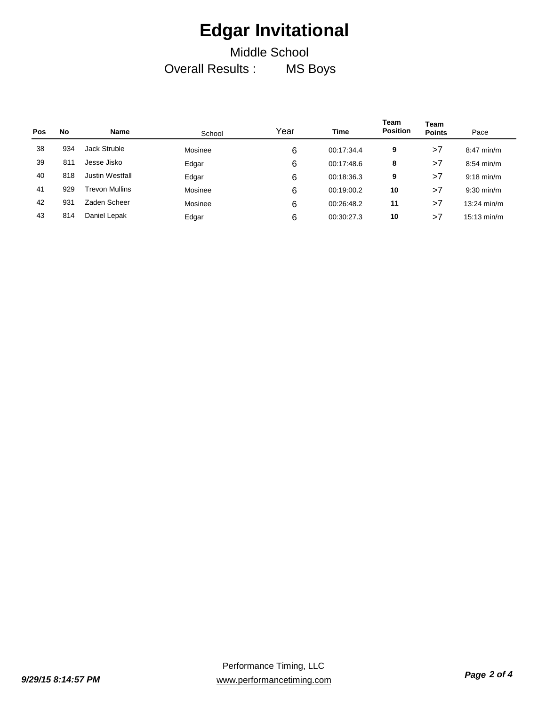### Middle School Overall Results : MS Boys

| Pos | <b>No</b>    | Name                   | School  | Year | Time       | <b>Team</b><br><b>Position</b> | Team<br><b>Points</b> | Pace                  |
|-----|--------------|------------------------|---------|------|------------|--------------------------------|-----------------------|-----------------------|
| 38  | 934          | Jack Struble           | Mosinee | 6    | 00:17:34.4 | 9                              | >7                    | $8:47$ min/m          |
| 39  | $81^{\circ}$ | Jesse Jisko            | Edgar   | 6    | 00:17:48.6 | 8                              | >7                    | $8:54$ min/m          |
| 40  | 818          | <b>Justin Westfall</b> | Edgar   | 6    | 00:18:36.3 | 9                              | >7                    | $9:18$ min/m          |
| 41  | 929          | Trevon Mullins         | Mosinee | 6    | 00:19:00.2 | 10                             | >7                    | $9:30$ min/m          |
| 42  | 931          | Zaden Scheer           | Mosinee | 6    | 00:26:48.2 | 11                             | >7                    | $13:24$ min/m         |
| 43  | 814          | Daniel Lepak           | Edgar   | 6    | 00:30:27.3 | 10                             | >7                    | $15:13 \text{ min/m}$ |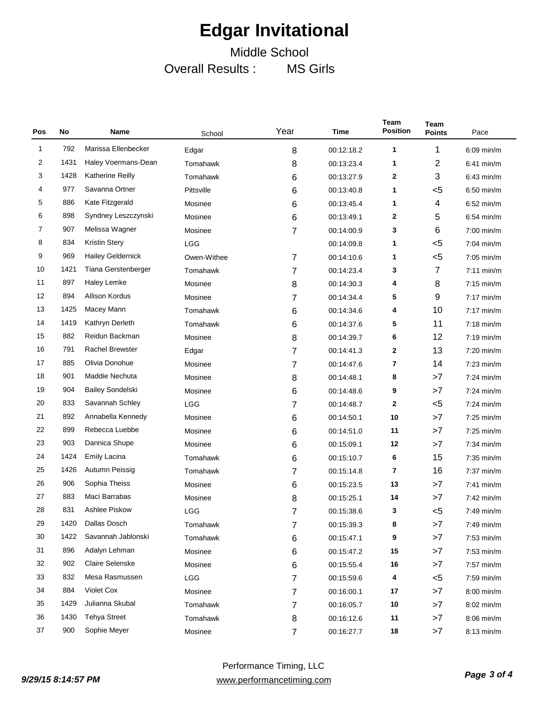#### Middle School Overall Results : MS Girls

| Pos | No   | Name                                                 | School                     | Year           | Time       | Team<br><b>Position</b> | <b>Team</b><br><b>Points</b> | Pace         |
|-----|------|------------------------------------------------------|----------------------------|----------------|------------|-------------------------|------------------------------|--------------|
| 1   | 792  | Marissa Ellenbecker                                  | Edgar                      | 8              | 00:12:18.2 | 1                       | 1                            | $6:09$ min/m |
| 2   | 1431 | Haley Voermans-Dean                                  | Tomahawk                   | 8              | 00:13:23.4 | 1                       | 2                            | $6:41$ min/m |
| 3   | 1428 | <b>Katherine Reilly</b>                              | Tomahawk                   | 6              | 00:13:27.9 | 2                       | 3                            | $6:43$ min/m |
| 4   | 977  | Savanna Ortner                                       | Pittsville                 | 6              | 00:13:40.8 | 1                       | $5$                          | $6:50$ min/m |
| 5   | 886  | Kate Fitzgerald                                      | Mosinee                    | 6              | 00:13:45.4 | 1                       | 4                            | $6.52$ min/m |
| 6   | 898  | Syndney Leszczynski                                  | Mosinee                    | 6              | 00:13:49.1 | 2                       | 5                            | $6.54$ min/m |
| 7   | 907  | Melissa Wagner                                       | Mosinee                    | 7              | 00:14:00.9 | 3                       | 6                            | $7:00$ min/m |
| 8   | 834  | <b>Kristin Stery</b>                                 | <b>LGG</b>                 |                | 00:14:09.8 | 1                       | $5$                          | $7:04$ min/m |
| 9   | 969  | <b>Hailey Geldernick</b>                             | Owen-Withee                | 7              | 00:14:10.6 | 1                       | $5$                          | $7:05$ min/m |
| 10  | 1421 | Tiana Gerstenberger                                  | Tomahawk                   | 7              | 00:14:23.4 | 3                       | 7                            | $7:11$ min/m |
| 11  | 897  | Haley Lemke                                          | Mosinee                    | 8              | 00:14:30.3 | 4                       | 8                            | $7:15$ min/m |
| 12  | 894  | Allison Kordus                                       | Mosinee                    | 7              | 00:14:34.4 | 5                       | 9                            | $7:17$ min/m |
| 13  | 1425 | Macey Mann                                           | Tomahawk                   | 6              | 00:14:34.6 | 4                       | 10                           | $7:17$ min/m |
| 14  | 1419 | Kathryn Derleth                                      | Tomahawk                   | 6              | 00:14:37.6 | 5                       | 11                           | $7:18$ min/m |
| 15  | 882  | Reidun Backman                                       | Mosinee                    | 8              | 00:14:39.7 | 6                       | 12                           | $7:19$ min/m |
| 16  | 791  | <b>Rachel Brewster</b>                               | Edgar                      | 7              | 00:14:41.3 | 2                       | 13                           | $7:20$ min/m |
| 17  | 885  | Olivia Donohue                                       | Mosinee                    | 7              | 00:14:47.6 | 7                       | 14                           | $7:23$ min/m |
| 18  | 901  | Maddie Nechuta                                       | Mosinee                    | 8              | 00:14:48.1 | 8                       | >7                           | $7:24$ min/m |
| 19  | 904  | <b>Bailey Sondelski</b>                              | Mosinee                    | 6              | 00:14:48.6 | 9                       | >7                           | $7:24$ min/m |
| 20  | 833  | Savannah Schley                                      | <b>LGG</b>                 | 7              | 00:14:48.7 | 2                       | $5$                          | $7:24$ min/m |
| 21  | 892  | Annabella Kennedy                                    | Mosinee                    | 6              | 00:14:50.1 | 10                      | >7                           | $7:25$ min/m |
| 22  | 899  | Rebecca Luebbe                                       | Mosinee                    | 6              | 00:14:51.0 | 11                      | >7                           | $7:25$ min/m |
| 23  | 903  | Dannica Shupe                                        | Mosinee                    | 6              | 00:15:09.1 | 12                      | >7                           | $7:34$ min/m |
| 24  | 1424 | <b>Emily Lacina</b>                                  | Tomahawk                   | 6              | 00:15:10.7 | 6                       | 15                           | $7:35$ min/m |
| 25  | 1426 | Autumn Peissig                                       | Tomahawk                   | 7              | 00:15:14.8 | 7                       | 16                           | 7:37 min/m   |
| 26  | 906  | Sophia Theiss                                        | Mosinee                    | 6              | 00:15:23.5 | 13                      | >7                           | $7:41$ min/m |
| 27  | 883  | Maci Barrabas                                        | Mosinee                    | 8              | 00:15:25.1 | 14                      | >7                           | 7:42 min/m   |
| 28  | 831  | Ashlee Piskow                                        | <b>LGG</b>                 | 7              | 00:15:38.6 | 3                       | $<$ 5                        | 7:49 min/m   |
| 29  | 1420 | Dallas Dosch                                         | Tomahawk                   | $\overline{7}$ | 00:15:39.3 | 8                       | >7                           | 7:49 min/m   |
| 30  | 1422 | Savannah Jablonski                                   | Tomahawk                   | 6              | 00:15:47.1 | 9                       | >7                           | 7:53 min/m   |
| 31  | 896  | Adalyn Lehman                                        | Mosinee                    | 6              | 00:15:47.2 | 15                      | >7                           | 7:53 min/m   |
| 32  | 902  | <b>Claire Selenske</b><br>Mosinee<br>6<br>00:15:55.4 |                            | 16             | >7         | 7:57 min/m              |                              |              |
| 33  | 832  | Mesa Rasmussen                                       | LGG                        | 7              | 00:15:59.6 | 4                       | $5$                          | $7:59$ min/m |
| 34  | 884  | Violet Cox                                           | Mosinee<br>7<br>00:16:00.1 |                | 17         | >7                      | 8:00 min/m                   |              |
| 35  | 1429 | Julianna Skubal                                      | Tomahawk                   | 7              | 00:16:05.7 | $10\,$                  | >7                           | 8:02 min/m   |
| 36  | 1430 | <b>Tehya Street</b>                                  | Tomahawk                   | 8              | 00:16:12.6 | 11                      | >7                           | 8:06 min/m   |
| 37  | 900  | Sophie Meyer                                         | Mosinee                    | 7              | 00:16:27.7 | $18$                    | >7                           | 8:13 min/m   |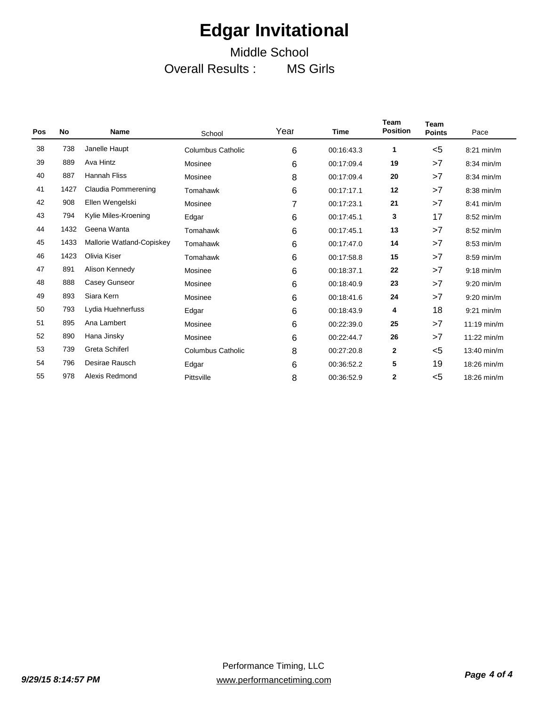#### Middle School Overall Results : MS Girls

| Pos | <b>No</b> | Name                      | School                   | Year           | <b>Time</b> | <b>Team</b><br><b>Position</b> | <b>Team</b><br><b>Points</b> | Pace          |
|-----|-----------|---------------------------|--------------------------|----------------|-------------|--------------------------------|------------------------------|---------------|
| 38  | 738       | Janelle Haupt             | <b>Columbus Catholic</b> | 6              | 00:16:43.3  | 1                              | $5$                          | $8:21$ min/m  |
| 39  | 889       | Ava Hintz                 | Mosinee                  | 6              | 00:17:09.4  | 19                             | >7                           | $8:34$ min/m  |
| 40  | 887       | <b>Hannah Fliss</b>       | Mosinee                  | 8              | 00:17:09.4  | 20                             | >7                           | $8:34$ min/m  |
| 41  | 1427      | Claudia Pommerening       | Tomahawk                 | 6              | 00:17:17.1  | 12                             | >7                           | 8:38 min/m    |
| 42  | 908       | Ellen Wengelski           | Mosinee                  | $\overline{7}$ | 00:17:23.1  | 21                             | >7                           | $8:41$ min/m  |
| 43  | 794       | Kylie Miles-Kroening      | Edgar                    | 6              | 00:17:45.1  | 3                              | 17                           | $8:52$ min/m  |
| 44  | 1432      | Geena Wanta               | Tomahawk                 | 6              | 00:17:45.1  | 13                             | >7                           | 8:52 min/m    |
| 45  | 1433      | Mallorie Watland-Copiskey | Tomahawk                 | 6              | 00:17:47.0  | 14                             | >7                           | $8:53$ min/m  |
| 46  | 1423      | Olivia Kiser              | Tomahawk                 | 6              | 00:17:58.8  | 15                             | >7                           | 8:59 min/m    |
| 47  | 891       | Alison Kennedy            | Mosinee                  | 6              | 00:18:37.1  | 22                             | >7                           | $9:18$ min/m  |
| 48  | 888       | Casey Gunseor             | Mosinee                  | 6              | 00:18:40.9  | 23                             | >7                           | $9:20$ min/m  |
| 49  | 893       | Siara Kern                | Mosinee                  | 6              | 00:18:41.6  | 24                             | >7                           | $9:20$ min/m  |
| 50  | 793       | Lydia Huehnerfuss         | Edgar                    | 6              | 00:18:43.9  | 4                              | 18                           | $9:21$ min/m  |
| 51  | 895       | Ana Lambert               | Mosinee                  | 6              | 00:22:39.0  | 25                             | >7                           | $11:19$ min/m |
| 52  | 890       | Hana Jinsky               | Mosinee                  | 6              | 00:22:44.7  | 26                             | >7                           | $11:22$ min/m |
| 53  | 739       | Greta Schiferl            | <b>Columbus Catholic</b> | 8              | 00:27:20.8  | 2                              | <5                           | 13:40 min/m   |
| 54  | 796       | Desirae Rausch            | Edgar                    | 6              | 00:36:52.2  | 5                              | 19                           | 18:26 min/m   |
| 55  | 978       | Alexis Redmond            | Pittsville               | 8              | 00:36:52.9  | 2                              | $<$ 5                        | 18:26 min/m   |
|     |           |                           |                          |                |             |                                |                              |               |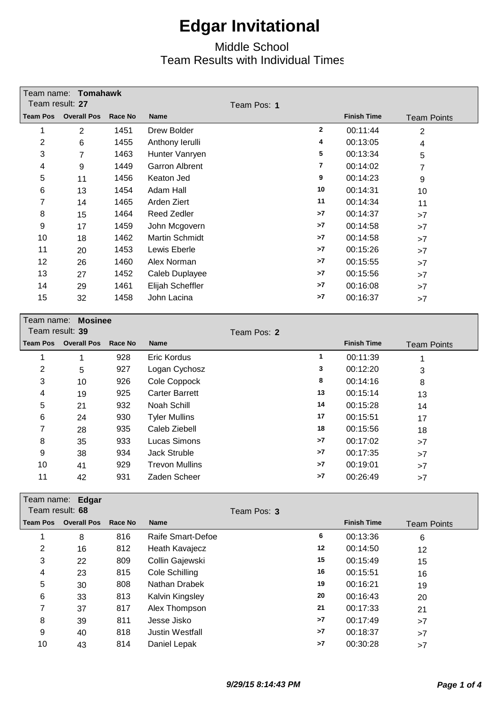### Middle School Team Results with Individual Times

|                 | Team name: Tomahawk |         |                       |             |              |                    |                    |  |  |
|-----------------|---------------------|---------|-----------------------|-------------|--------------|--------------------|--------------------|--|--|
| Team result: 27 |                     |         |                       | Team Pos: 1 |              |                    |                    |  |  |
| <b>Team Pos</b> | <b>Overall Pos</b>  | Race No | <b>Name</b>           |             |              | <b>Finish Time</b> | <b>Team Points</b> |  |  |
| 1               | $\overline{2}$      | 1451    | Drew Bolder           |             | $\mathbf{2}$ | 00:11:44           | $\overline{2}$     |  |  |
| 2               | 6                   | 1455    | Anthony Ierulli       |             | 4            | 00:13:05           | 4                  |  |  |
| 3               | 7                   | 1463    | Hunter Vanryen        |             | 5            | 00:13:34           | 5                  |  |  |
| 4               | 9                   | 1449    | <b>Garron Albrent</b> |             | 7            | 00:14:02           | 7                  |  |  |
| 5               | 11                  | 1456    | Keaton Jed            |             | 9            | 00:14:23           | 9                  |  |  |
| 6               | 13                  | 1454    | Adam Hall             |             | 10           | 00:14:31           | 10                 |  |  |
| 7               | 14                  | 1465    | Arden Ziert           |             | 11           | 00:14:34           | 11                 |  |  |
| 8               | 15                  | 1464    | Reed Zedler           |             | >7           | 00:14:37           | >7                 |  |  |
| 9               | 17                  | 1459    | John Mcgovern         |             | >7           | 00:14:58           | >7                 |  |  |
| 10              | 18                  | 1462    | Martin Schmidt        |             | >7           | 00:14:58           | >7                 |  |  |
| 11              | 20                  | 1453    | Lewis Eberle          |             | >7           | 00:15:26           | >7                 |  |  |
| 12              | 26                  | 1460    | Alex Norman           |             | >7           | 00:15:55           | >7                 |  |  |
| 13              | 27                  | 1452    | Caleb Duplayee        |             | >7           | 00:15:56           | >7                 |  |  |
| 14              | 29                  | 1461    | Elijah Scheffler      |             | >7           | 00:16:08           | >7                 |  |  |
| 15              | 32                  | 1458    | John Lacina           |             | >7           | 00:16:37           | >7                 |  |  |

|                 | Team name: Mosinee |         |                       |             |                    |                    |  |  |  |
|-----------------|--------------------|---------|-----------------------|-------------|--------------------|--------------------|--|--|--|
| Team result: 39 |                    |         |                       | Team Pos: 2 |                    |                    |  |  |  |
| <b>Team Pos</b> | <b>Overall Pos</b> | Race No | <b>Name</b>           |             | <b>Finish Time</b> | <b>Team Points</b> |  |  |  |
|                 |                    | 928     | Eric Kordus           | 1           | 00:11:39           |                    |  |  |  |
| 2               | 5                  | 927     | Logan Cychosz         | 3           | 00:12:20           | 3                  |  |  |  |
| 3               | 10                 | 926     | Cole Coppock          | 8           | 00:14:16           | 8                  |  |  |  |
| 4               | 19                 | 925     | <b>Carter Barrett</b> | 13          | 00:15:14           | 13                 |  |  |  |
| 5               | 21                 | 932     | Noah Schill           | 14          | 00:15:28           | 14                 |  |  |  |
| 6               | 24                 | 930     | <b>Tyler Mullins</b>  | 17          | 00:15:51           | 17                 |  |  |  |
| 7               | 28                 | 935     | Caleb Ziebell         | 18          | 00:15:56           | 18                 |  |  |  |
| 8               | 35                 | 933     | Lucas Simons          | >7          | 00:17:02           | >7                 |  |  |  |
| 9               | 38                 | 934     | Jack Struble          | >7          | 00:17:35           | >7                 |  |  |  |
| 10              | 41                 | 929     | <b>Trevon Mullins</b> | >7          | 00:19:01           | >7                 |  |  |  |
| 11              | 42                 | 931     | Zaden Scheer          | >7          | 00:26:49           | >7                 |  |  |  |
|                 |                    |         |                       |             |                    |                    |  |  |  |

| Team name: Edgar |                    |         |                          |             |                    |                    |  |  |
|------------------|--------------------|---------|--------------------------|-------------|--------------------|--------------------|--|--|
| Team result: 68  |                    |         |                          | Team Pos: 3 |                    |                    |  |  |
| <b>Team Pos</b>  | <b>Overall Pos</b> | Race No | <b>Name</b>              |             | <b>Finish Time</b> | <b>Team Points</b> |  |  |
|                  | 8                  | 816     | <b>Raife Smart-Defoe</b> | 6           | 00:13:36           | 6                  |  |  |
| 2                | 16                 | 812     | Heath Kavajecz           | 12          | 00:14:50           | 12                 |  |  |
| 3                | 22                 | 809     | Collin Gajewski          | 15          | 00:15:49           | 15                 |  |  |
| 4                | 23                 | 815     | Cole Schilling           | 16          | 00:15:51           | 16                 |  |  |
| 5                | 30                 | 808     | Nathan Drabek            | 19          | 00:16:21           | 19                 |  |  |
| 6                | 33                 | 813     | Kalvin Kingsley          | 20          | 00:16:43           | 20                 |  |  |
| 7                | 37                 | 817     | Alex Thompson            | 21          | 00:17:33           | 21                 |  |  |
| 8                | 39                 | 811     | Jesse Jisko              | >7          | 00:17:49           | >7                 |  |  |
| 9                | 40                 | 818     | Justin Westfall          | >7          | 00:18:37           | >7                 |  |  |
| 10               | 43                 | 814     | Daniel Lepak             | >7          | 00:30:28           | >7                 |  |  |

 $\overline{\phantom{a}}$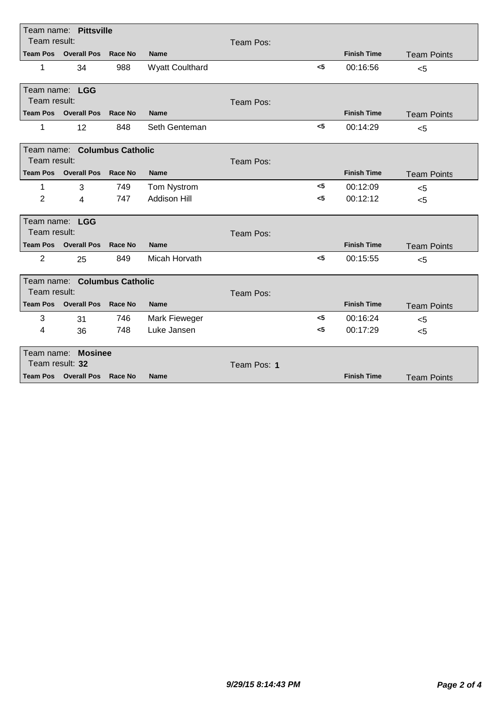|                    | Team name: Pittsville        |                |                        |             |              |                    |                    |  |
|--------------------|------------------------------|----------------|------------------------|-------------|--------------|--------------------|--------------------|--|
| Team result:       |                              |                |                        | Team Pos:   |              |                    |                    |  |
|                    | <b>Team Pos Overall Pos</b>  | <b>Race No</b> | <b>Name</b>            |             |              | <b>Finish Time</b> | <b>Team Points</b> |  |
| 1                  | 34                           | 988            | <b>Wyatt Coulthard</b> |             | $5$          | 00:16:56           | $5$                |  |
|                    | Team name: LGG               |                |                        |             |              |                    |                    |  |
| Team result:       |                              |                |                        | Team Pos:   |              |                    |                    |  |
| <b>Team Pos</b>    | <b>Overall Pos</b>           | <b>Race No</b> | <b>Name</b>            |             |              | <b>Finish Time</b> | <b>Team Points</b> |  |
| 1                  | 12                           | 848            | Seth Genteman          |             | $5$          | 00:14:29           | $5$                |  |
|                    | Team name: Columbus Catholic |                |                        |             |              |                    |                    |  |
| Team result:       |                              |                |                        | Team Pos:   |              |                    |                    |  |
| <b>Team Pos</b>    | <b>Overall Pos</b>           | <b>Race No</b> | <b>Name</b>            |             |              | <b>Finish Time</b> | <b>Team Points</b> |  |
| 1                  | 3                            | 749            | Tom Nystrom            |             | $<$ 5        | 00:12:09           | $5$                |  |
| $\overline{2}$     | $\overline{4}$               | 747            | <b>Addison Hill</b>    |             | <5           | 00:12:12           | $5$                |  |
|                    |                              |                |                        |             |              |                    |                    |  |
|                    | Team name: LGG               |                |                        |             |              |                    |                    |  |
| Team result:       |                              |                |                        | Team Pos:   |              |                    |                    |  |
|                    | <b>Team Pos</b> Overall Pos  | Race No        | <b>Name</b>            |             |              | <b>Finish Time</b> | <b>Team Points</b> |  |
| 2                  | 25                           | 849            | Micah Horvath          |             | $\epsilon$ 5 | 00:15:55           | $5$                |  |
|                    |                              |                |                        |             |              |                    |                    |  |
|                    | Team name: Columbus Catholic |                |                        |             |              |                    |                    |  |
| Team result:       |                              |                |                        | Team Pos:   |              |                    |                    |  |
| <b>Team Pos</b>    | <b>Overall Pos</b>           | <b>Race No</b> | <b>Name</b>            |             |              | <b>Finish Time</b> | <b>Team Points</b> |  |
| 3                  | 31                           | 746            | Mark Fieweger          |             | $<$ 5        | 00:16:24           | < 5                |  |
| 4                  | 36                           | 748            | Luke Jansen            |             | <5           | 00:17:29           | $5$                |  |
| Team name: Mosinee |                              |                |                        |             |              |                    |                    |  |
| Team result: 32    |                              |                |                        | Team Pos: 1 |              |                    |                    |  |
|                    | Team Pos Overall Pos Race No |                | <b>Name</b>            |             |              | <b>Finish Time</b> | <b>Team Points</b> |  |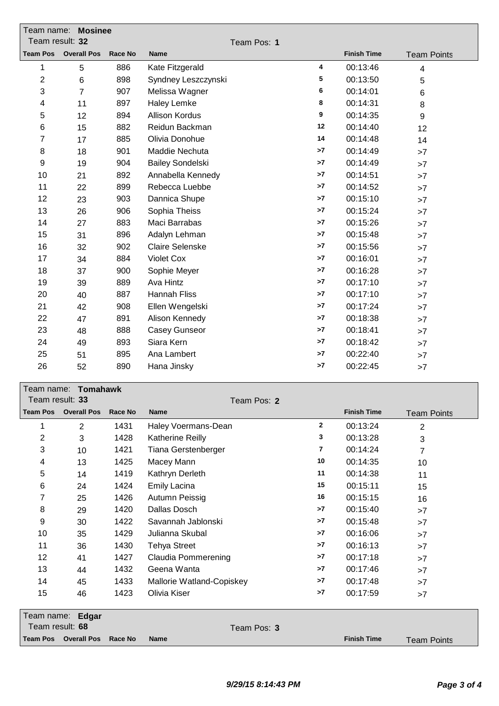|                | Team name: Mosinee<br>Team result: 32 |                |                         |      |                    |                    |  |  |  |
|----------------|---------------------------------------|----------------|-------------------------|------|--------------------|--------------------|--|--|--|
|                |                                       |                | Team Pos: 1             |      |                    |                    |  |  |  |
|                | Team Pos Overall Pos                  | <b>Race No</b> | <b>Name</b>             |      | <b>Finish Time</b> | <b>Team Points</b> |  |  |  |
| $\mathbf{1}$   | $\sqrt{5}$                            | 886            | Kate Fitzgerald         | 4    | 00:13:46           | 4                  |  |  |  |
| $\overline{2}$ | $\,6$                                 | 898            | Syndney Leszczynski     | 5    | 00:13:50           | 5                  |  |  |  |
| 3              | $\overline{7}$                        | 907            | Melissa Wagner          | 6    | 00:14:01           | 6                  |  |  |  |
| 4              | 11                                    | 897            | <b>Haley Lemke</b>      | 8    | 00:14:31           | 8                  |  |  |  |
| 5              | 12                                    | 894            | <b>Allison Kordus</b>   | 9    | 00:14:35           | 9                  |  |  |  |
| 6              | 15                                    | 882            | Reidun Backman          | 12   | 00:14:40           | 12                 |  |  |  |
| $\overline{7}$ | 17                                    | 885            | Olivia Donohue          | 14   | 00:14:48           | 14                 |  |  |  |
| 8              | 18                                    | 901            | Maddie Nechuta          | >7   | 00:14:49           | >7                 |  |  |  |
| 9              | 19                                    | 904            | <b>Bailey Sondelski</b> | >7   | 00:14:49           | >7                 |  |  |  |
| 10             | 21                                    | 892            | Annabella Kennedy       | >7   | 00:14:51           | $>7$               |  |  |  |
| 11             | 22                                    | 899            | Rebecca Luebbe          | >7   | 00:14:52           | $>7$               |  |  |  |
| 12             | 23                                    | 903            | Dannica Shupe           | >7   | 00:15:10           | >7                 |  |  |  |
| 13             | 26                                    | 906            | Sophia Theiss           | >7   | 00:15:24           | >7                 |  |  |  |
| 14             | 27                                    | 883            | Maci Barrabas           | >7   | 00:15:26           | >7                 |  |  |  |
| 15             | 31                                    | 896            | Adalyn Lehman           | >7   | 00:15:48           | >7                 |  |  |  |
| 16             | 32                                    | 902            | <b>Claire Selenske</b>  | $>7$ | 00:15:56           | >7                 |  |  |  |
| 17             | 34                                    | 884            | <b>Violet Cox</b>       | >7   | 00:16:01           | >7                 |  |  |  |
| 18             | 37                                    | 900            | Sophie Meyer            | >7   | 00:16:28           | $>7$               |  |  |  |
| 19             | 39                                    | 889            | Ava Hintz               | >7   | 00:17:10           | >7                 |  |  |  |
| 20             | 40                                    | 887            | <b>Hannah Fliss</b>     | >7   | 00:17:10           | >7                 |  |  |  |
| 21             | 42                                    | 908            | Ellen Wengelski         | >7   | 00:17:24           | >7                 |  |  |  |
| 22             | 47                                    | 891            | Alison Kennedy          | >7   | 00:18:38           | $>7$               |  |  |  |
| 23             | 48                                    | 888            | Casey Gunseor           | >7   | 00:18:41           | >7                 |  |  |  |
| 24             | 49                                    | 893            | Siara Kern              | >7   | 00:18:42           | $>7$               |  |  |  |
| 25             | 51                                    | 895            | Ana Lambert             | >7   | 00:22:40           | $>7$               |  |  |  |
| 26             | 52                                    | 890            | Hana Jinsky             | $>7$ | 00:22:45           | >7                 |  |  |  |

|                 | Team name: Tomahawk |                |                            |              |                    |                    |
|-----------------|---------------------|----------------|----------------------------|--------------|--------------------|--------------------|
| Team result: 33 |                     |                | Team Pos: 2                |              |                    |                    |
| <b>Team Pos</b> | <b>Overall Pos</b>  | <b>Race No</b> | <b>Name</b>                |              | <b>Finish Time</b> | <b>Team Points</b> |
|                 | $\overline{2}$      | 1431           | Haley Voermans-Dean        | $\mathbf{2}$ | 00:13:24           | $\overline{2}$     |
| 2               | 3                   | 1428           | <b>Katherine Reilly</b>    | 3            | 00:13:28           | 3                  |
| 3               | 10                  | 1421           | Tiana Gerstenberger        | 7            | 00:14:24           | $\overline{7}$     |
| 4               | 13                  | 1425           | Macey Mann                 | 10           | 00:14:35           | 10                 |
| 5               | 14                  | 1419           | Kathryn Derleth            | 11           | 00:14:38           | 11                 |
| 6               | 24                  | 1424           | Emily Lacina               | 15           | 00:15:11           | 15                 |
| 7               | 25                  | 1426           | Autumn Peissig             | 16           | 00:15:15           | 16                 |
| 8               | 29                  | 1420           | Dallas Dosch               | >7           | 00:15:40           | >7                 |
| 9               | 30                  | 1422           | Savannah Jablonski         | >7           | 00:15:48           | >7                 |
| 10              | 35                  | 1429           | Julianna Skubal            | >7           | 00:16:06           | >7                 |
| 11              | 36                  | 1430           | <b>Tehya Street</b>        | >7           | 00:16:13           | >7                 |
| 12              | 41                  | 1427           | <b>Claudia Pommerening</b> | >7           | 00:17:18           | >7                 |
| 13              | 44                  | 1432           | Geena Wanta                | >7           | 00:17:46           | >7                 |
| 14              | 45                  | 1433           | Mallorie Watland-Copiskey  | >7           | 00:17:48           | >7                 |
| 15              | 46                  | 1423           | Olivia Kiser               | >7           | 00:17:59           | >7                 |
| Team name:      | Edgar               |                |                            |              |                    |                    |
| Team result: 68 |                     |                | Team Pos: 3                |              |                    |                    |
| <b>Team Pos</b> | <b>Overall Pos</b>  | Race No        | <b>Name</b>                |              | <b>Finish Time</b> | <b>Team Points</b> |

┑